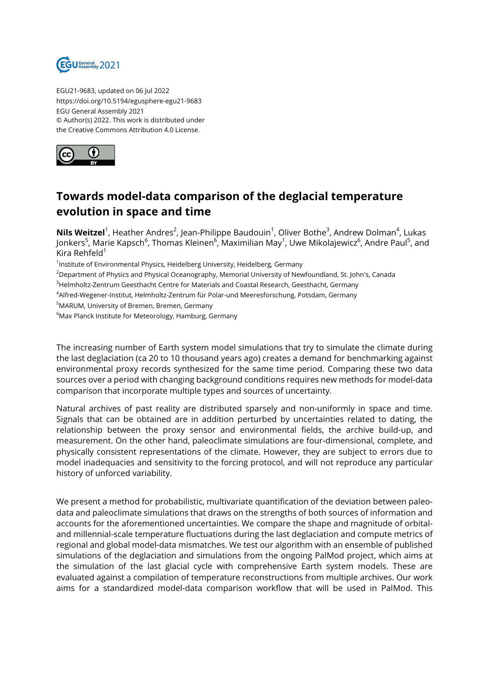

EGU21-9683, updated on 06 Jul 2022 https://doi.org/10.5194/egusphere-egu21-9683 EGU General Assembly 2021 © Author(s) 2022. This work is distributed under the Creative Commons Attribution 4.0 License.



## **Towards model-data comparison of the deglacial temperature evolution in space and time**

**Nils Weitzel**<sup>1</sup>, Heather Andres<sup>2</sup>, Jean-Philippe Baudouin<sup>1</sup>, Oliver Bothe<sup>3</sup>, Andrew Dolman<sup>4</sup>, Lukas Jonkers<sup>5</sup>, Marie Kapsch<sup>6</sup>, Thomas Kleinen<sup>6</sup>, Maximilian May<sup>1</sup>, Uwe Mikolajewicz<sup>6</sup>, Andre Paul<sup>5</sup>, and Kira Rehfeld $1$ 

<sup>1</sup>Institute of Environmental Physics, Heidelberg University, Heidelberg, Germany

<sup>2</sup>Department of Physics and Physical Oceanography, Memorial University of Newfoundland, St. John's, Canada

<sup>3</sup>Helmholtz-Zentrum Geesthacht Centre for Materials and Coastal Research, Geesthacht, Germany

<sup>4</sup>Alfred-Wegener-Institut, Helmholtz-Zentrum für Polar-und Meeresforschung, Potsdam, Germany

<sup>5</sup>MARUM, University of Bremen, Bremen, Germany

<sup>6</sup>Max Planck Institute for Meteorology, Hamburg, Germany

The increasing number of Earth system model simulations that try to simulate the climate during the last deglaciation (ca 20 to 10 thousand years ago) creates a demand for benchmarking against environmental proxy records synthesized for the same time period. Comparing these two data sources over a period with changing background conditions requires new methods for model-data comparison that incorporate multiple types and sources of uncertainty.

Natural archives of past reality are distributed sparsely and non-uniformly in space and time. Signals that can be obtained are in addition perturbed by uncertainties related to dating, the relationship between the proxy sensor and environmental fields, the archive build-up, and measurement. On the other hand, paleoclimate simulations are four-dimensional, complete, and physically consistent representations of the climate. However, they are subject to errors due to model inadequacies and sensitivity to the forcing protocol, and will not reproduce any particular history of unforced variability.

We present a method for probabilistic, multivariate quantification of the deviation between paleodata and paleoclimate simulations that draws on the strengths of both sources of information and accounts for the aforementioned uncertainties. We compare the shape and magnitude of orbitaland millennial-scale temperature fluctuations during the last deglaciation and compute metrics of regional and global model-data mismatches. We test our algorithm with an ensemble of published simulations of the deglaciation and simulations from the ongoing PalMod project, which aims at the simulation of the last glacial cycle with comprehensive Earth system models. These are evaluated against a compilation of temperature reconstructions from multiple archives. Our work aims for a standardized model-data comparison workflow that will be used in PalMod. This